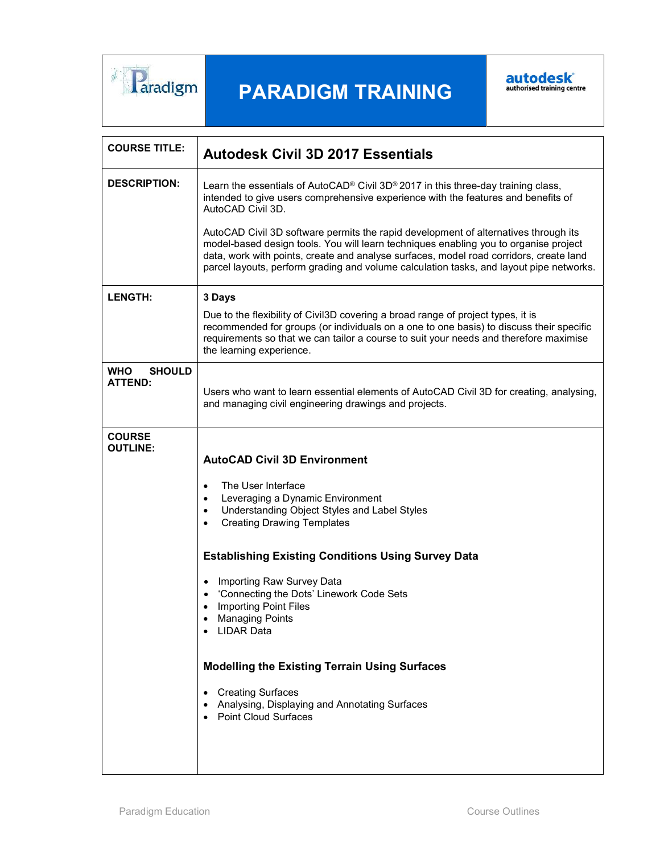

## PARADIGM TRAINING



| <b>COURSE TITLE:</b>                          | <b>Autodesk Civil 3D 2017 Essentials</b>                                                                                                                                                                                                                                                                                                                                                                                                                                                                                                                                                                           |
|-----------------------------------------------|--------------------------------------------------------------------------------------------------------------------------------------------------------------------------------------------------------------------------------------------------------------------------------------------------------------------------------------------------------------------------------------------------------------------------------------------------------------------------------------------------------------------------------------------------------------------------------------------------------------------|
| <b>DESCRIPTION:</b>                           | Learn the essentials of AutoCAD <sup>®</sup> Civil 3D® 2017 in this three-day training class,<br>intended to give users comprehensive experience with the features and benefits of<br>AutoCAD Civil 3D.                                                                                                                                                                                                                                                                                                                                                                                                            |
|                                               | AutoCAD Civil 3D software permits the rapid development of alternatives through its<br>model-based design tools. You will learn techniques enabling you to organise project<br>data, work with points, create and analyse surfaces, model road corridors, create land<br>parcel layouts, perform grading and volume calculation tasks, and layout pipe networks.                                                                                                                                                                                                                                                   |
| <b>LENGTH:</b>                                | 3 Days                                                                                                                                                                                                                                                                                                                                                                                                                                                                                                                                                                                                             |
|                                               | Due to the flexibility of Civil3D covering a broad range of project types, it is<br>recommended for groups (or individuals on a one to one basis) to discuss their specific<br>requirements so that we can tailor a course to suit your needs and therefore maximise<br>the learning experience.                                                                                                                                                                                                                                                                                                                   |
| <b>WHO</b><br><b>SHOULD</b><br><b>ATTEND:</b> | Users who want to learn essential elements of AutoCAD Civil 3D for creating, analysing,<br>and managing civil engineering drawings and projects.                                                                                                                                                                                                                                                                                                                                                                                                                                                                   |
| <b>COURSE</b><br><b>OUTLINE:</b>              | <b>AutoCAD Civil 3D Environment</b><br>The User Interface<br>Leveraging a Dynamic Environment<br>٠<br>Understanding Object Styles and Label Styles<br>$\bullet$<br><b>Creating Drawing Templates</b><br>$\bullet$<br><b>Establishing Existing Conditions Using Survey Data</b><br>Importing Raw Survey Data<br>$\bullet$<br>'Connecting the Dots' Linework Code Sets<br><b>Importing Point Files</b><br><b>Managing Points</b><br>• LIDAR Data<br><b>Modelling the Existing Terrain Using Surfaces</b><br><b>Creating Surfaces</b><br>Analysing, Displaying and Annotating Surfaces<br><b>Point Cloud Surfaces</b> |
|                                               |                                                                                                                                                                                                                                                                                                                                                                                                                                                                                                                                                                                                                    |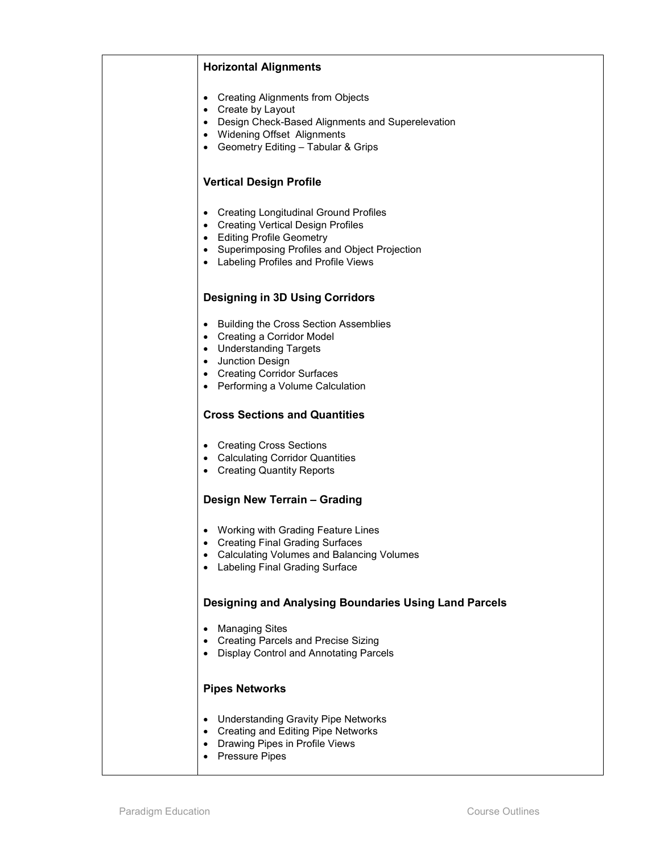| <b>Horizontal Alignments</b>                                                                                                                                                                                                  |
|-------------------------------------------------------------------------------------------------------------------------------------------------------------------------------------------------------------------------------|
| <b>Creating Alignments from Objects</b><br>$\bullet$<br>Create by Layout<br>٠<br>Design Check-Based Alignments and Superelevation<br><b>Widening Offset Alignments</b><br>• Geometry Editing - Tabular & Grips                |
| <b>Vertical Design Profile</b>                                                                                                                                                                                                |
| <b>Creating Longitudinal Ground Profiles</b><br><b>Creating Vertical Design Profiles</b><br>٠<br><b>Editing Profile Geometry</b><br>Superimposing Profiles and Object Projection<br>Labeling Profiles and Profile Views       |
| <b>Designing in 3D Using Corridors</b>                                                                                                                                                                                        |
| <b>Building the Cross Section Assemblies</b><br>$\bullet$<br>Creating a Corridor Model<br>٠<br><b>Understanding Targets</b><br>Junction Design<br><b>Creating Corridor Surfaces</b><br>٠<br>• Performing a Volume Calculation |
| <b>Cross Sections and Quantities</b>                                                                                                                                                                                          |
| <b>Creating Cross Sections</b><br>• Calculating Corridor Quantities<br><b>Creating Quantity Reports</b><br>٠                                                                                                                  |
| Design New Terrain - Grading                                                                                                                                                                                                  |
| Working with Grading Feature Lines<br>Creating Final Grading Surfaces<br>٠<br><b>Calculating Volumes and Balancing Volumes</b><br>Labeling Final Grading Surface                                                              |
| Designing and Analysing Boundaries Using Land Parcels                                                                                                                                                                         |
| <b>Managing Sites</b><br><b>Creating Parcels and Precise Sizing</b><br><b>Display Control and Annotating Parcels</b>                                                                                                          |
| <b>Pipes Networks</b>                                                                                                                                                                                                         |
| <b>Understanding Gravity Pipe Networks</b><br><b>Creating and Editing Pipe Networks</b><br>$\bullet$<br>Drawing Pipes in Profile Views<br><b>Pressure Pipes</b>                                                               |
|                                                                                                                                                                                                                               |